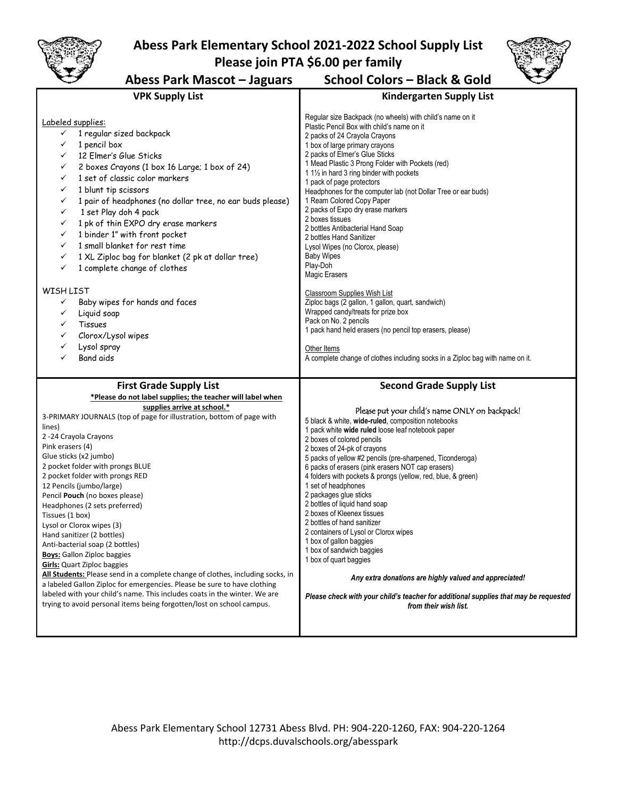

## **Abess Park Elementary School 2021-2022 School Supply List Please join PTA \$6.00 per family**



## **Abess Park Mascot – Jaguars School Colors – Black & Gold**

| <b>VPK Supply List</b>                                                                                                                                                                                                                                                                                                                                                                                                                                                                                                                                                                                                                                                                                                                                                                                                                                                                                                                                                      | <b>Kindergarten Supply List</b>                                                                                                                                                                                                                                                                                                                                                                                                                                                                                                                                                                                                                                                                                                                                                                                                                                                                                                                                       |
|-----------------------------------------------------------------------------------------------------------------------------------------------------------------------------------------------------------------------------------------------------------------------------------------------------------------------------------------------------------------------------------------------------------------------------------------------------------------------------------------------------------------------------------------------------------------------------------------------------------------------------------------------------------------------------------------------------------------------------------------------------------------------------------------------------------------------------------------------------------------------------------------------------------------------------------------------------------------------------|-----------------------------------------------------------------------------------------------------------------------------------------------------------------------------------------------------------------------------------------------------------------------------------------------------------------------------------------------------------------------------------------------------------------------------------------------------------------------------------------------------------------------------------------------------------------------------------------------------------------------------------------------------------------------------------------------------------------------------------------------------------------------------------------------------------------------------------------------------------------------------------------------------------------------------------------------------------------------|
| Labeled supplies:<br>1 regular sized backpack<br>✓<br>✓<br>1 pencil box<br>12 Elmer's Glue Sticks<br>✓<br>2 boxes Crayons (1 box 16 Large; 1 box of 24)<br>✓<br>1 set of classic color markers<br>✓<br>1 blunt tip scissors<br>✓<br>1 pair of headphones (no dollar tree, no ear buds please)<br>✓<br>1 set Play doh 4 pack<br>$\checkmark$<br>1 pk of thin EXPO dry erase markers<br>$\checkmark$<br>1 binder 1" with front pocket<br>✓<br>1 small blanket for rest time<br>✓<br>1 XL Ziploc bag for blanket (2 pk at dollar tree)<br>$\checkmark$<br>1 complete change of clothes<br>✓<br>WISH LIST<br>Baby wipes for hands and faces<br>✓<br>Liquid soap<br>✓<br>$\checkmark$<br>Tissues<br>Clorox/Lysol wipes<br>✓<br>Lysol spray<br>✓<br><b>Band aids</b>                                                                                                                                                                                                              | Regular size Backpack (no wheels) with child's name on it<br>Plastic Pencil Box with child's name on it<br>2 packs of 24 Crayola Crayons<br>1 box of large primary crayons<br>2 packs of Elmer's Glue Sticks<br>1 Mead Plastic 3 Prong Folder with Pockets (red)<br>111/2 in hard 3 ring binder with pockets<br>1 pack of page protectors<br>Headphones for the computer lab (not Dollar Tree or ear buds)<br>1 Ream Colored Copy Paper<br>2 packs of Expo dry erase markers<br>2 boxes tissues<br>2 bottles Antibacterial Hand Soap<br>2 bottles Hand Sanitizer<br>Lysol Wipes (no Clorox, please)<br><b>Baby Wipes</b><br>Play-Doh<br>Magic Erasers<br>Classroom Supplies Wish List<br>Ziploc bags (2 gallon, 1 gallon, quart, sandwich)<br>Wrapped candy/treats for prize box<br>Pack on No. 2 pencils<br>1 pack hand held erasers (no pencil top erasers, please)<br>Other Items<br>A complete change of clothes including socks in a Ziploc bag with name on it. |
| <b>First Grade Supply List</b><br>*Please do not label supplies; the teacher will label when<br>supplies arrive at school.*<br>3-PRIMARY JOURNALS (top of page for illustration, bottom of page with<br>lines)<br>2-24 Crayola Crayons<br>Pink erasers (4)<br>Glue sticks (x2 jumbo)<br>2 pocket folder with prongs BLUE<br>2 pocket folder with prongs RED<br>12 Pencils (jumbo/large)<br>Pencil Pouch (no boxes please)<br>Headphones (2 sets preferred)<br>Tissues (1 box)<br>Lysol or Clorox wipes (3)<br>Hand sanitizer (2 bottles)<br>Anti-bacterial soap (2 bottles)<br><b>Boys:</b> Gallon Ziploc baggies<br><b>Girls:</b> Quart Ziploc baggies<br>All Students: Please send in a complete change of clothes, including socks, in<br>a labeled Gallon Ziploc for emergencies. Please be sure to have clothing<br>labeled with your child's name. This includes coats in the winter. We are<br>trying to avoid personal items being forgotten/lost on school campus. | <b>Second Grade Supply List</b><br>Please put your child's name ONLY on backpack!<br>5 black & white, wide-ruled, composition notebooks<br>1 pack white wide ruled loose leaf notebook paper<br>2 boxes of colored pencils<br>2 boxes of 24-pk of crayons<br>5 packs of yellow #2 pencils (pre-sharpened, Ticonderoga)<br>6 packs of erasers (pink erasers NOT cap erasers)<br>4 folders with pockets & prongs (yellow, red, blue, & green)<br>1 set of headphones<br>2 packages glue sticks<br>2 bottles of liquid hand soap<br>2 boxes of Kleenex tissues<br>2 bottles of hand sanitizer<br>2 containers of Lysol or Clorox wipes<br>1 box of gallon baggies<br>1 box of sandwich baggies<br>1 box of quart baggies<br>Any extra donations are highly valued and appreciated!<br>Please check with your child's teacher for additional supplies that may be requested<br>from their wish list.                                                                      |